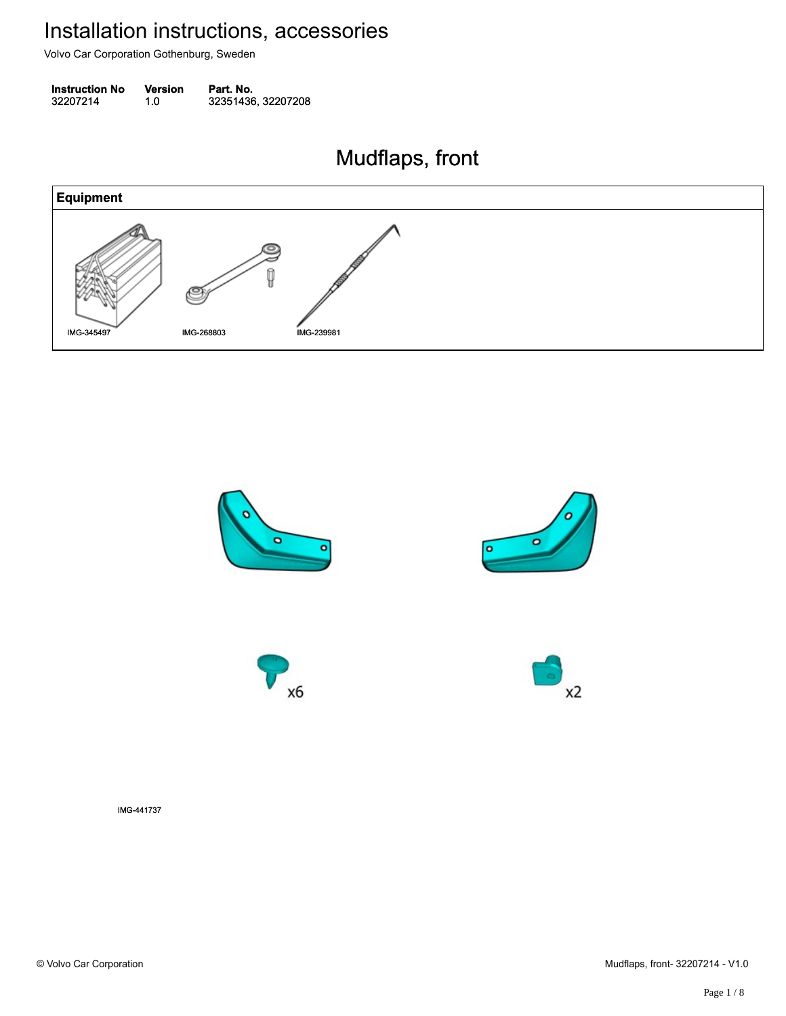Volvo Car Corporation Gothenburg, Sweden

| <b>Instruction No</b> | <b>Version</b> | Part. No.          |
|-----------------------|----------------|--------------------|
| 32207214              | 1.0            | 32351436, 32207208 |

#### Mudflaps, front Mudflaps, front





IMG-441737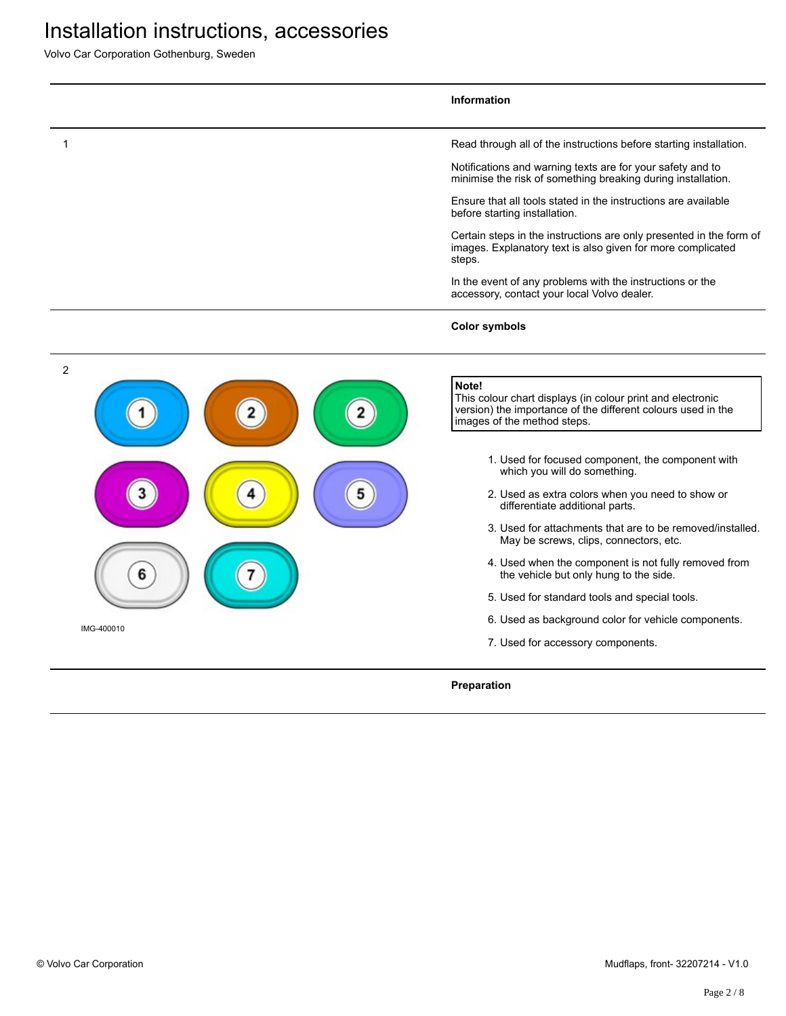Volvo Car Corporation Gothenburg, Sweden

|                 | <b>Information</b>                                                                                                                                                                                                                                                                                                                                                                                                                                                                                                                                                                                                                                                                                   |
|-----------------|------------------------------------------------------------------------------------------------------------------------------------------------------------------------------------------------------------------------------------------------------------------------------------------------------------------------------------------------------------------------------------------------------------------------------------------------------------------------------------------------------------------------------------------------------------------------------------------------------------------------------------------------------------------------------------------------------|
| 1               | Read through all of the instructions before starting installation.<br>Notifications and warning texts are for your safety and to<br>minimise the risk of something breaking during installation.<br>Ensure that all tools stated in the instructions are available<br>before starting installation.<br>Certain steps in the instructions are only presented in the form of<br>images. Explanatory text is also given for more complicated<br>steps.<br>In the event of any problems with the instructions or the<br>accessory, contact your local Volvo dealer.                                                                                                                                      |
|                 | <b>Color symbols</b>                                                                                                                                                                                                                                                                                                                                                                                                                                                                                                                                                                                                                                                                                 |
| 2<br>IMG-400010 | Note!<br>This colour chart displays (in colour print and electronic<br>version) the importance of the different colours used in the<br>images of the method steps.<br>1. Used for focused component, the component with<br>which you will do something.<br>2. Used as extra colors when you need to show or<br>differentiate additional parts.<br>3. Used for attachments that are to be removed/installed.<br>May be screws, clips, connectors, etc.<br>4. Used when the component is not fully removed from<br>the vehicle but only hung to the side.<br>5. Used for standard tools and special tools.<br>6. Used as background color for vehicle components.<br>7. Used for accessory components. |
|                 | Preparation                                                                                                                                                                                                                                                                                                                                                                                                                                                                                                                                                                                                                                                                                          |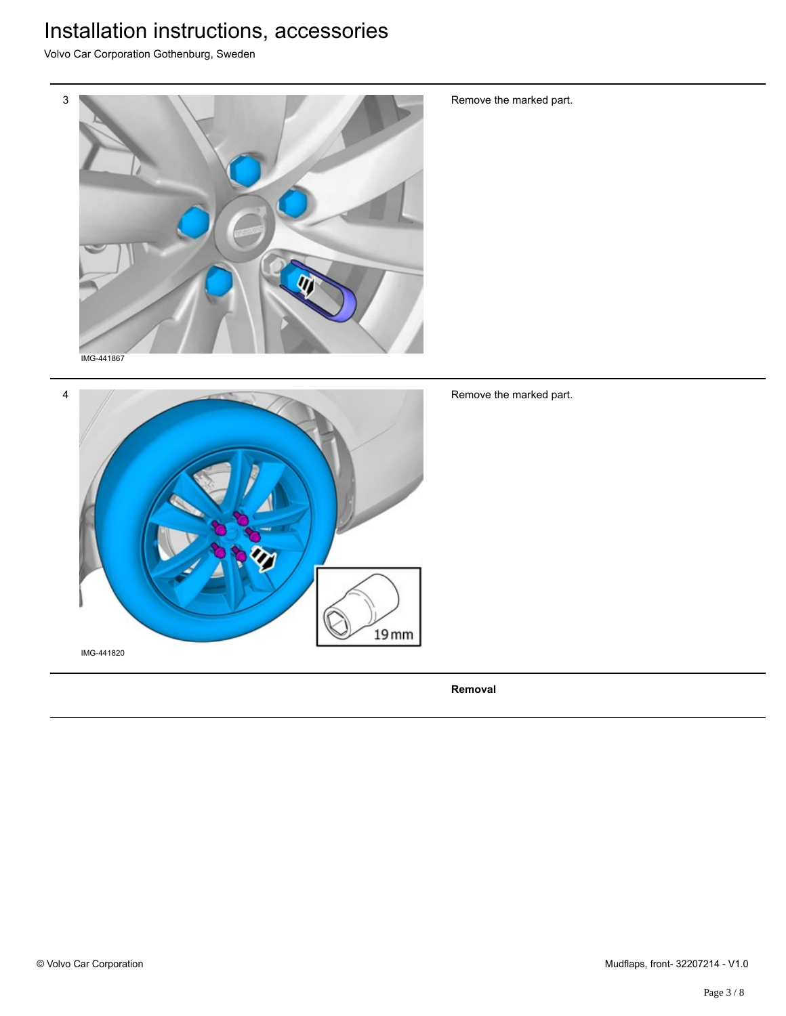Volvo Car Corporation Gothenburg, Sweden



Remove the marked part.



Remove the marked part.

**Removal**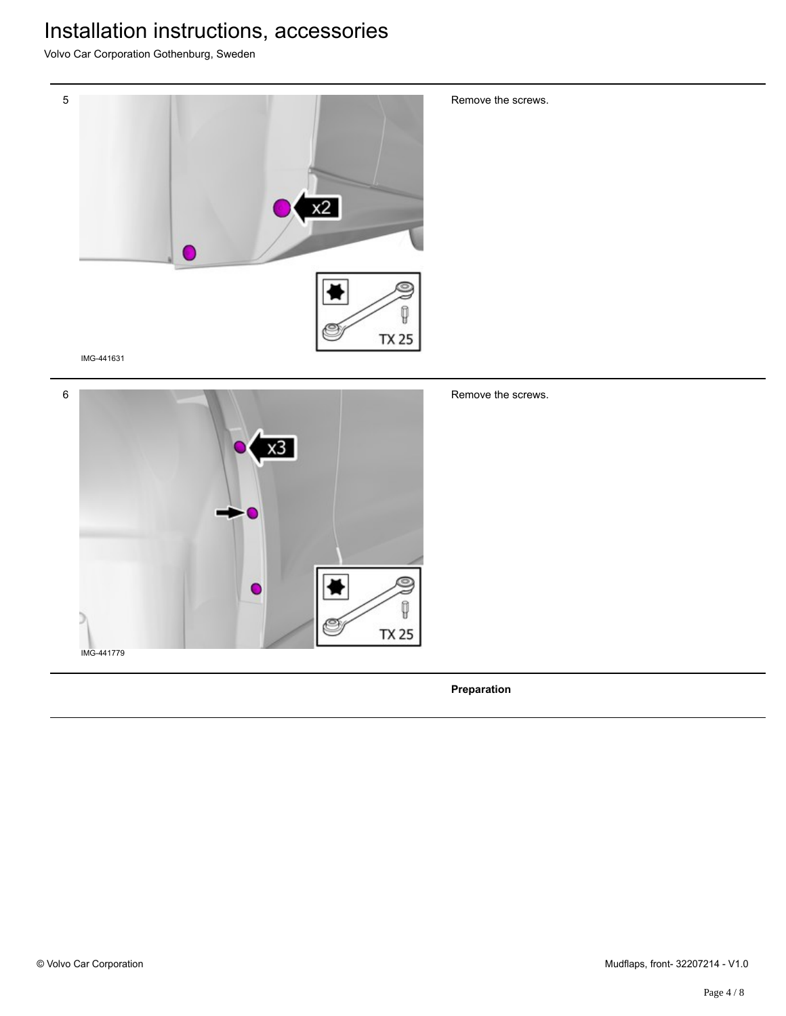Volvo Car Corporation Gothenburg, Sweden





Remove the screws.

**Preparation**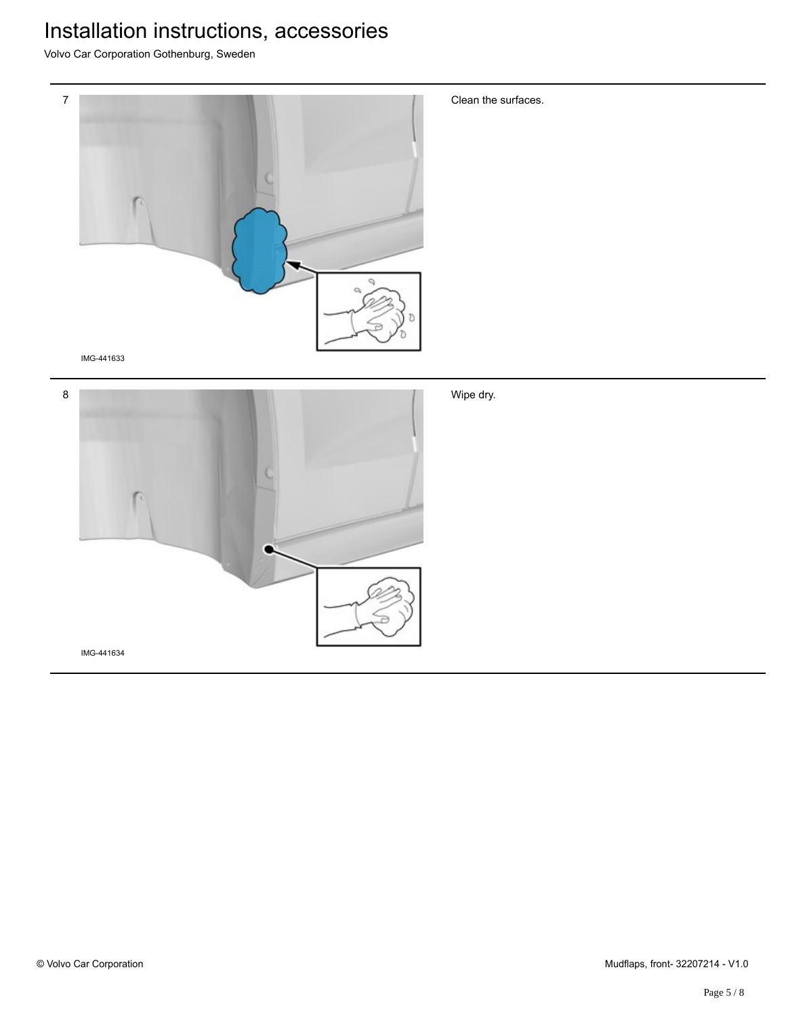Volvo Car Corporation Gothenburg, Sweden



IMG-441633



Clean the surfaces.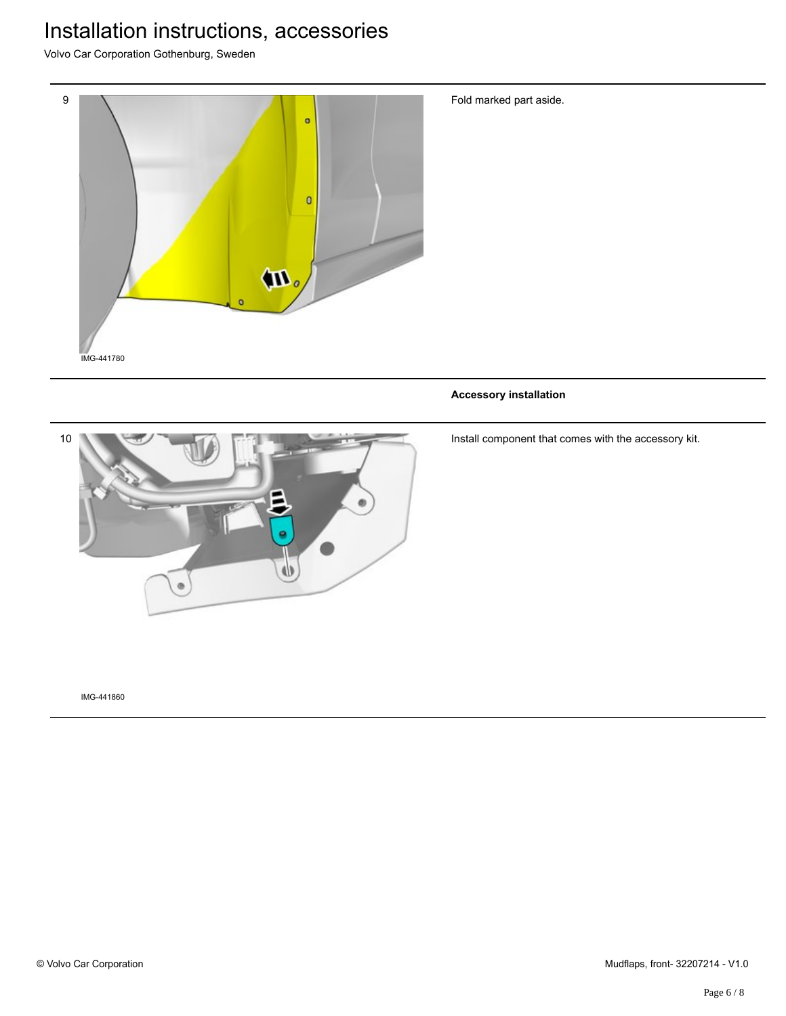Volvo Car Corporation Gothenburg, Sweden



Fold marked part aside.

**Accessory installation**



Install component that comes with the accessory kit.

IMG-441860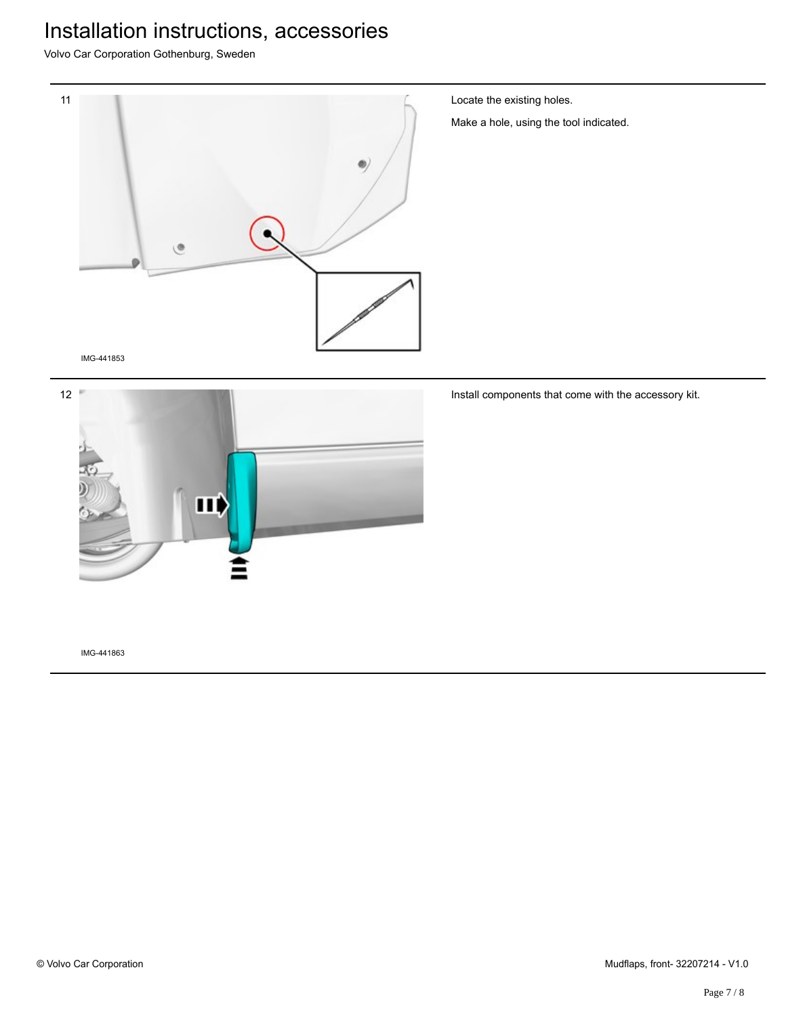Volvo Car Corporation Gothenburg, Sweden



Locate the existing holes.

Make a hole, using the tool indicated.

IMG-441853



Install components that come with the accessory kit.

IMG-441863